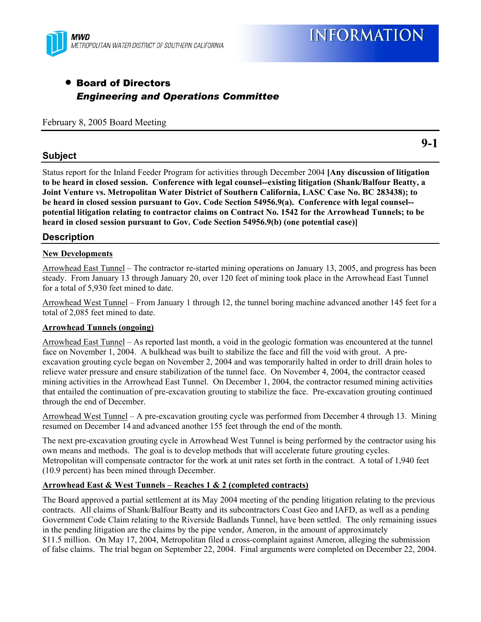

**9-1** 

# • Board of Directors *Engineering and Operations Committee*

February 8, 2005 Board Meeting

# **Subject**

Status report for the Inland Feeder Program for activities through December 2004 **[Any discussion of litigation to be heard in closed session. Conference with legal counsel--existing litigation (Shank/Balfour Beatty, a Joint Venture vs. Metropolitan Water District of Southern California, LASC Case No. BC 283438); to be heard in closed session pursuant to Gov. Code Section 54956.9(a). Conference with legal counsel- potential litigation relating to contractor claims on Contract No. 1542 for the Arrowhead Tunnels; to be heard in closed session pursuant to Gov. Code Section 54956.9(b) (one potential case)]**

## **Description**

### **New Developments**

Arrowhead East Tunnel – The contractor re-started mining operations on January 13, 2005, and progress has been steady. From January 13 through January 20, over 120 feet of mining took place in the Arrowhead East Tunnel for a total of 5,930 feet mined to date.

Arrowhead West Tunnel – From January 1 through 12, the tunnel boring machine advanced another 145 feet for a total of 2,085 feet mined to date.

#### **Arrowhead Tunnels (ongoing)**

Arrowhead East Tunnel – As reported last month, a void in the geologic formation was encountered at the tunnel face on November 1, 2004. A bulkhead was built to stabilize the face and fill the void with grout. A preexcavation grouting cycle began on November 2, 2004 and was temporarily halted in order to drill drain holes to relieve water pressure and ensure stabilization of the tunnel face. On November 4, 2004, the contractor ceased mining activities in the Arrowhead East Tunnel. On December 1, 2004, the contractor resumed mining activities that entailed the continuation of pre-excavation grouting to stabilize the face. Pre-excavation grouting continued through the end of December.

Arrowhead West Tunnel – A pre-excavation grouting cycle was performed from December 4 through 13. Mining resumed on December 14 and advanced another 155 feet through the end of the month.

The next pre-excavation grouting cycle in Arrowhead West Tunnel is being performed by the contractor using his own means and methods. The goal is to develop methods that will accelerate future grouting cycles. Metropolitan will compensate contractor for the work at unit rates set forth in the contract. A total of 1,940 feet (10.9 percent) has been mined through December.

#### **Arrowhead East & West Tunnels – Reaches 1 & 2 (completed contracts)**

The Board approved a partial settlement at its May 2004 meeting of the pending litigation relating to the previous contracts. All claims of Shank/Balfour Beatty and its subcontractors Coast Geo and IAFD, as well as a pending Government Code Claim relating to the Riverside Badlands Tunnel, have been settled. The only remaining issues in the pending litigation are the claims by the pipe vendor, Ameron, in the amount of approximately \$11.5 million. On May 17, 2004, Metropolitan filed a cross-complaint against Ameron, alleging the submission of false claims. The trial began on September 22, 2004. Final arguments were completed on December 22, 2004.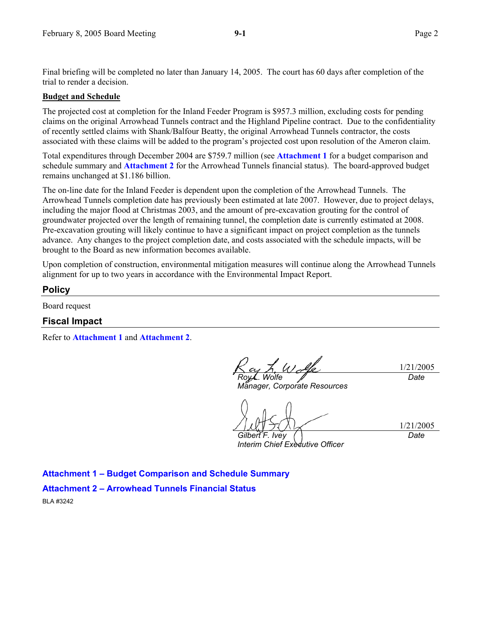Final briefing will be completed no later than January 14, 2005. The court has 60 days after completion of the trial to render a decision.

#### **Budget and Schedule**

The projected cost at completion for the Inland Feeder Program is \$957.3 million, excluding costs for pending claims on the original Arrowhead Tunnels contract and the Highland Pipeline contract. Due to the confidentiality of recently settled claims with Shank/Balfour Beatty, the original Arrowhead Tunnels contractor, the costs associated with these claims will be added to the program's projected cost upon resolution of the Ameron claim.

Total expenditures through December 2004 are \$759.7 million (see **Attachment 1** for a budget comparison and schedule summary and **Attachment 2** for the Arrowhead Tunnels financial status). The board-approved budget remains unchanged at \$1.186 billion.

The on-line date for the Inland Feeder is dependent upon the completion of the Arrowhead Tunnels. The Arrowhead Tunnels completion date has previously been estimated at late 2007. However, due to project delays, including the major flood at Christmas 2003, and the amount of pre-excavation grouting for the control of groundwater projected over the length of remaining tunnel, the completion date is currently estimated at 2008. Pre-excavation grouting will likely continue to have a significant impact on project completion as the tunnels advance. Any changes to the project completion date, and costs associated with the schedule impacts, will be brought to the Board as new information becomes available.

Upon completion of construction, environmental mitigation measures will continue along the Arrowhead Tunnels alignment for up to two years in accordance with the Environmental Impact Report.

#### **Policy**

Board request

#### **Fiscal Impact**

Refer to **Attachment 1** and **Attachment 2**.

1/21/2005 *Roy L. Wolfe Date* 

*Manager, Corporate Resources* 

1/21/2005

*Gilbert F. Ivey Interim Chief Executive Officer*  *Date* 

**Attachment 1 – Budget Comparison and Schedule Summary Attachment 2 – Arrowhead Tunnels Financial Status**  BLA #3242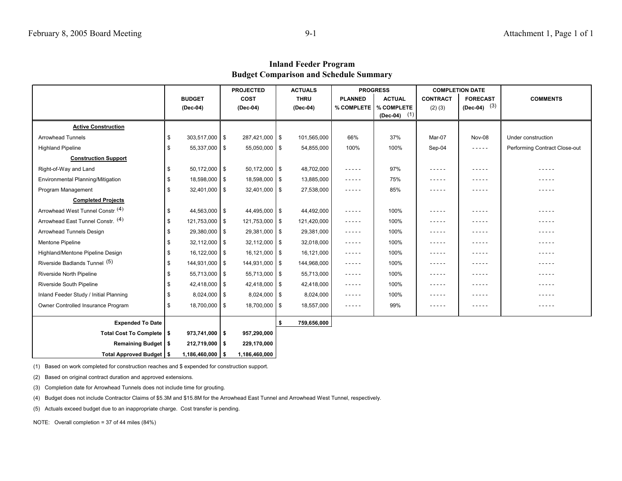**Inland Feeder Program Budget Comparison and Schedule Summary**

|                                        |          |                    | <b>PROJECTED</b> |                   | <b>ACTUALS</b> |             |                                                                                                                                                                                                                                                                                                                                      | <b>PROGRESS</b> | <b>COMPLETION DATE</b> |                                                                                                                                                      |                               |
|----------------------------------------|----------|--------------------|------------------|-------------------|----------------|-------------|--------------------------------------------------------------------------------------------------------------------------------------------------------------------------------------------------------------------------------------------------------------------------------------------------------------------------------------|-----------------|------------------------|------------------------------------------------------------------------------------------------------------------------------------------------------|-------------------------------|
|                                        |          | <b>BUDGET</b>      |                  | <b>COST</b>       |                | <b>THRU</b> | <b>PLANNED</b>                                                                                                                                                                                                                                                                                                                       | <b>ACTUAL</b>   | <b>CONTRACT</b>        | <b>FORECAST</b>                                                                                                                                      | <b>COMMENTS</b>               |
|                                        | (Dec-04) |                    | (Dec-04)         |                   | (Dec-04)       |             | % COMPLETE                                                                                                                                                                                                                                                                                                                           | % COMPLETE      | $(2)$ $(3)$            | $(Dec-04)$ (3)                                                                                                                                       |                               |
|                                        |          |                    |                  |                   |                |             |                                                                                                                                                                                                                                                                                                                                      | (1)<br>(Dec-04) |                        |                                                                                                                                                      |                               |
| <b>Active Construction</b>             |          |                    |                  |                   |                |             |                                                                                                                                                                                                                                                                                                                                      |                 |                        |                                                                                                                                                      |                               |
| <b>Arrowhead Tunnels</b>               | \$       | $303,517,000$ \$   |                  | 287,421,000 \$    |                | 101,565,000 | 66%                                                                                                                                                                                                                                                                                                                                  | 37%             | Mar-07                 | Nov-08                                                                                                                                               | Under construction            |
| <b>Highland Pipeline</b>               | \$       | 55,337,000 \$      |                  | $55,050,000$ \$   |                | 54,855,000  | 100%                                                                                                                                                                                                                                                                                                                                 | 100%            | Sep-04                 | $\frac{1}{2} \left( \frac{1}{2} \right) \left( \frac{1}{2} \right) \left( \frac{1}{2} \right) \left( \frac{1}{2} \right) \left( \frac{1}{2} \right)$ | Performing Contract Close-out |
| <b>Construction Support</b>            |          |                    |                  |                   |                |             |                                                                                                                                                                                                                                                                                                                                      |                 |                        |                                                                                                                                                      |                               |
| Right-of-Way and Land                  | \$       | $50,172,000$ \$    |                  | $50,172,000$ \$   |                | 48,702,000  | -----                                                                                                                                                                                                                                                                                                                                | 97%             | -----                  | -----                                                                                                                                                | - - - - -                     |
| Environmental Planning/Mitigation      | \$       | 18,598,000 \$      |                  | 18,598,000 \$     |                | 13,885,000  | $- - - - -$                                                                                                                                                                                                                                                                                                                          | 75%             | -----                  | - - - - -                                                                                                                                            | - - - - -                     |
| Program Management                     | \$       | $32,401,000$ \ \$  |                  | $32,401,000$ \$   |                | 27,538,000  | -----                                                                                                                                                                                                                                                                                                                                | 85%             | -----                  | .                                                                                                                                                    | - - - - -                     |
| <b>Completed Projects</b>              |          |                    |                  |                   |                |             |                                                                                                                                                                                                                                                                                                                                      |                 |                        |                                                                                                                                                      |                               |
| Arrowhead West Tunnel Constr. (4)      | \$       | 44,563,000 \$      |                  | 44,495,000 \$     |                | 44,492,000  | -----                                                                                                                                                                                                                                                                                                                                | 100%            | -----                  | .                                                                                                                                                    | - - - - -                     |
| Arrowhead East Tunnel Constr. (4)      | \$       | 121,753,000 \$     |                  | 121,753,000 \$    |                | 121,420,000 | -----                                                                                                                                                                                                                                                                                                                                | 100%            | -----                  |                                                                                                                                                      | -----                         |
| Arrowhead Tunnels Design               | \$       | 29,380,000 \$      |                  | 29,381,000   \$   |                | 29,381,000  | $- - - - -$                                                                                                                                                                                                                                                                                                                          | 100%            | -----                  | -----                                                                                                                                                | -----                         |
| Mentone Pipeline                       | \$       | $32,112,000$ \ \$  |                  | $32,112,000$ \ \$ |                | 32,018,000  | $- - - - -$                                                                                                                                                                                                                                                                                                                          | 100%            | -----                  | -----                                                                                                                                                | -----                         |
| Highland/Mentone Pipeline Design       | \$       | $16,122,000$ \$    |                  | 16,121,000 \$     |                | 16,121,000  | $\frac{1}{2} \left( \frac{1}{2} \right) \left( \frac{1}{2} \right) \left( \frac{1}{2} \right) \left( \frac{1}{2} \right) \left( \frac{1}{2} \right)$                                                                                                                                                                                 | 100%            | -----                  | -----                                                                                                                                                | $- - - - -$                   |
| Riverside Badlands Tunnel (5)          | \$       | 144,931,000 \$     |                  | 144,931,000 \$    |                | 144,968,000 | -----                                                                                                                                                                                                                                                                                                                                | 100%            | -----                  | .                                                                                                                                                    | - - - - -                     |
| Riverside North Pipeline               | \$       | 55,713,000 \$      |                  | $55,713,000$ \$   |                | 55,713,000  | $\frac{1}{2}$                                                                                                                                                                                                                                                                                                                        | 100%            | -----                  | -----                                                                                                                                                | - - - - -                     |
| Riverside South Pipeline               | \$       | 42,418,000 \$      |                  | 42,418,000        | $\sqrt{3}$     | 42,418,000  | $\frac{1}{2} \frac{1}{2} \frac{1}{2} \frac{1}{2} \frac{1}{2} \frac{1}{2} \frac{1}{2} \frac{1}{2} \frac{1}{2}$                                                                                                                                                                                                                        | 100%            | -----                  | - - - - -                                                                                                                                            | -----                         |
| Inland Feeder Study / Initial Planning | \$       | $8,024,000$ \$     |                  | $8,024,000$ \ \$  |                | 8,024,000   | $- - - - -$                                                                                                                                                                                                                                                                                                                          | 100%            | -----                  | -----                                                                                                                                                | -----                         |
| Owner Controlled Insurance Program     | \$       | 18,700,000 \$      |                  | 18,700,000 \$     |                | 18,557,000  | $\frac{1}{2} \left( \begin{array}{ccc} 1 & 0 & 0 & 0 \\ 0 & 0 & 0 & 0 \\ 0 & 0 & 0 & 0 \\ 0 & 0 & 0 & 0 \\ 0 & 0 & 0 & 0 \\ 0 & 0 & 0 & 0 \\ 0 & 0 & 0 & 0 \\ 0 & 0 & 0 & 0 \\ 0 & 0 & 0 & 0 \\ 0 & 0 & 0 & 0 \\ 0 & 0 & 0 & 0 & 0 \\ 0 & 0 & 0 & 0 & 0 \\ 0 & 0 & 0 & 0 & 0 \\ 0 & 0 & 0 & 0 & 0 \\ 0 & 0 & 0 & 0 & 0 \\ 0 & 0 & 0$ | 99%             | -----                  | $- - - - - -$                                                                                                                                        | -----                         |
| <b>Expended To Date</b>                |          |                    |                  |                   | - \$           | 759,656,000 |                                                                                                                                                                                                                                                                                                                                      |                 |                        |                                                                                                                                                      |                               |
| Total Cost To Complete   \$            |          | $973,741,000$   \$ |                  | 957,290,000       |                |             |                                                                                                                                                                                                                                                                                                                                      |                 |                        |                                                                                                                                                      |                               |
| Remaining Budget   \$                  |          | $212,719,000$ \$   |                  | 229,170,000       |                |             |                                                                                                                                                                                                                                                                                                                                      |                 |                        |                                                                                                                                                      |                               |
| Total Approved Budget   \$             |          | $1,186,460,000$ \$ |                  | 1,186,460,000     |                |             |                                                                                                                                                                                                                                                                                                                                      |                 |                        |                                                                                                                                                      |                               |

(1) Based on work completed for construction reaches and \$ expended for construction support.

(2) Based on original contract duration and approved extensions.

(3) Completion date for Arrowhead Tunnels does not include time for grouting.

(4) Budget does not include Contractor Claims of \$5.3M and \$15.8M for the Arrowhead East Tunnel and Arrowhead West Tunnel, respectively.

(5) Actuals exceed budget due to an inappropriate charge. Cost transfer is pending.

NOTE: Overall completion = 37 of 44 miles (84%)